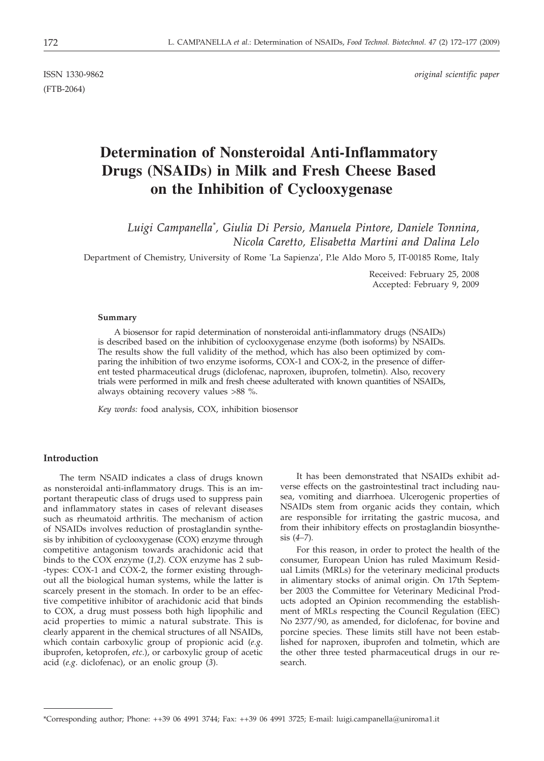(FTB-2064)

ISSN 1330-9862 *original scientific paper*

# **Determination of Nonsteroidal Anti-Inflammatory Drugs (NSAIDs) in Milk and Fresh Cheese Based on the Inhibition of Cyclooxygenase**

*Luigi Campanella\* , Giulia Di Persio, Manuela Pintore, Daniele Tonnina, Nicola Caretto, Elisabetta Martini and Dalina Lelo*

Department of Chemistry, University of Rome 'La Sapienza', P.le Aldo Moro 5, IT-00185 Rome, Italy

Received: February 25, 2008 Accepted: February 9, 2009

#### **Summary**

A biosensor for rapid determination of nonsteroidal anti-inflammatory drugs (NSAIDs) is described based on the inhibition of cyclooxygenase enzyme (both isoforms) by NSAIDs. The results show the full validity of the method, which has also been optimized by comparing the inhibition of two enzyme isoforms, COX-1 and COX-2, in the presence of different tested pharmaceutical drugs (diclofenac, naproxen, ibuprofen, tolmetin). Also, recovery trials were performed in milk and fresh cheese adulterated with known quantities of NSAIDs, always obtaining recovery values >88 %.

*Key words:* food analysis, COX, inhibition biosensor

## **Introduction**

The term NSAID indicates a class of drugs known as nonsteroidal anti-inflammatory drugs. This is an important therapeutic class of drugs used to suppress pain and inflammatory states in cases of relevant diseases such as rheumatoid arthritis. The mechanism of action of NSAIDs involves reduction of prostaglandin synthesis by inhibition of cyclooxygenase (COX) enzyme through competitive antagonism towards arachidonic acid that binds to the COX enzyme (*1,2*). COX enzyme has 2 sub- -types: COX-1 and COX-2, the former existing throughout all the biological human systems, while the latter is scarcely present in the stomach. In order to be an effective competitive inhibitor of arachidonic acid that binds to COX, a drug must possess both high lipophilic and acid properties to mimic a natural substrate. This is clearly apparent in the chemical structures of all NSAIDs, which contain carboxylic group of propionic acid (*e.g*. ibuprofen, ketoprofen, *etc*.), or carboxylic group of acetic acid (*e.g*. diclofenac), or an enolic group (*3*).

It has been demonstrated that NSAIDs exhibit adverse effects on the gastrointestinal tract including nausea, vomiting and diarrhoea. Ulcerogenic properties of NSAIDs stem from organic acids they contain, which are responsible for irritating the gastric mucosa, and from their inhibitory effects on prostaglandin biosynthesis (*4–7*)*.*

For this reason, in order to protect the health of the consumer, European Union has ruled Maximum Residual Limits (MRLs) for the veterinary medicinal products in alimentary stocks of animal origin. On 17th September 2003 the Committee for Veterinary Medicinal Products adopted an Opinion recommending the establishment of MRLs respecting the Council Regulation (EEC) No 2377/90, as amended, for diclofenac, for bovine and porcine species. These limits still have not been established for naproxen, ibuprofen and tolmetin, which are the other three tested pharmaceutical drugs in our research.

<sup>\*</sup>Corresponding author; Phone: ++39 06 4991 3744; Fax: ++39 06 4991 3725; E-mail: luigi.campanella@uniroma1.it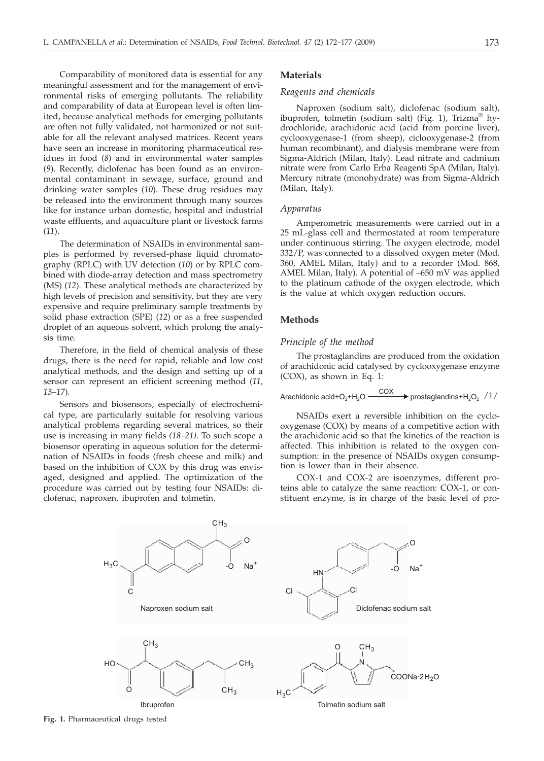Comparability of monitored data is essential for any meaningful assessment and for the management of environmental risks of emerging pollutants. The reliability and comparability of data at European level is often limited, because analytical methods for emerging pollutants are often not fully validated, not harmonized or not suitable for all the relevant analysed matrices. Recent years have seen an increase in monitoring pharmaceutical residues in food (*8*) and in environmental water samples (*9*). Recently, diclofenac has been found as an environmental contaminant in sewage, surface, ground and drinking water samples (*10*). These drug residues may be released into the environment through many sources like for instance urban domestic, hospital and industrial waste effluents, and aquaculture plant or livestock farms (*11*).

The determination of NSAIDs in environmental samples is performed by reversed-phase liquid chromatography (RPLC) with UV detection (*10*) or by RPLC combined with diode-array detection and mass spectrometry (MS) (*12*)*.* These analytical methods are characterized by high levels of precision and sensitivity, but they are very expensive and require preliminary sample treatments by solid phase extraction (SPE) (*12*) or as a free suspended droplet of an aqueous solvent, which prolong the analysis time.

Therefore, in the field of chemical analysis of these drugs, there is the need for rapid, reliable and low cost analytical methods, and the design and setting up of a sensor can represent an efficient screening method (*11, 13–17*)*.*

Sensors and biosensors, especially of electrochemical type, are particularly suitable for resolving various analytical problems regarding several matrices, so their use is increasing in many fields *(18–21)*. To such scope a biosensor operating in aqueous solution for the determination of NSAIDs in foods (fresh cheese and milk) and based on the inhibition of COX by this drug was envisaged, designed and applied. The optimization of the procedure was carried out by testing four NSAIDs: diclofenac, naproxen, ibuprofen and tolmetin.

#### **Materials**

## *Reagents and chemicals*

Naproxen (sodium salt), diclofenac (sodium salt), ibuprofen, tolmetin (sodium salt) (Fig. 1), Trizma® hydrochloride, arachidonic acid (acid from porcine liver), cyclooxygenase-1 (from sheep), ciclooxygenase-2 (from human recombinant), and dialysis membrane were from Sigma-Aldrich (Milan, Italy). Lead nitrate and cadmium nitrate were from Carlo Erba Reagenti SpA (Milan, Italy). Mercury nitrate (monohydrate) was from Sigma-Aldrich (Milan, Italy).

## *Apparatus*

Amperometric measurements were carried out in a 25 mL-glass cell and thermostated at room temperature under continuous stirring. The oxygen electrode, model 332/P, was connected to a dissolved oxygen meter (Mod. 360, AMEL Milan, Italy) and to a recorder (Mod. 868, AMEL Milan, Italy). A potential of –650 mV was applied to the platinum cathode of the oxygen electrode, which is the value at which oxygen reduction occurs.

## **Methods**

#### *Principle of the method*

The prostaglandins are produced from the oxidation of arachidonic acid catalysed by cyclooxygenase enzyme (COX), as shown in Eq. 1:

Arachidonic acid+
$$
O_2
$$
+ $H_2$ O  $\xrightarrow{\text{COX}}$  prostaglandins+ $H_2O_2$  /1/

NSAIDs exert a reversible inhibition on the cyclooxygenase (COX) by means of a competitive action with the arachidonic acid so that the kinetics of the reaction is affected. This inhibition is related to the oxygen consumption: in the presence of NSAIDs oxygen consumption is lower than in their absence.

COX-1 and COX-2 are isoenzymes, different proteins able to catalyze the same reaction: COX-1, or constituent enzyme, is in charge of the basic level of pro-



**Fig. 1.** Pharmaceutical drugs tested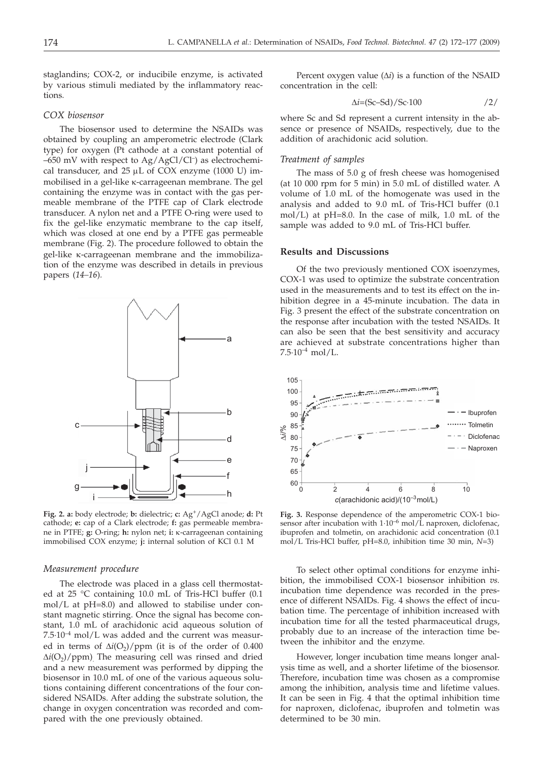staglandins; COX-2, or inducibile enzyme, is activated by various stimuli mediated by the inflammatory reactions*.*

## *COX biosensor*

The biosensor used to determine the NSAIDs was obtained by coupling an amperometric electrode (Clark type) for oxygen (Pt cathode at a constant potential of  $-650$  mV with respect to Ag/AgCl/Cl<sup>-</sup>) as electrochemical transducer, and  $25 \mu L$  of COX enzyme (1000 U) immobilised in a gel-like k-carrageenan membrane. The gel containing the enzyme was in contact with the gas permeable membrane of the PTFE cap of Clark electrode transducer. A nylon net and a PTFE O-ring were used to fix the gel-like enzymatic membrane to the cap itself, which was closed at one end by a PTFE gas permeable membrane (Fig. 2). The procedure followed to obtain the gel-like k-carrageenan membrane and the immobilization of the enzyme was described in details in previous papers (*14–16*)*.*



**Fig. 2. a:** body electrode; **b:** dielectric; **c:** Ag+/AgCl anode; **d:** Pt cathode; **e:** cap of a Clark electrode; **f:** gas permeable membrane in PTFE; **g:** O-ring; **h:** nylon net; **i:** k-carrageenan containing immobilised COX enzyme; **j:** internal solution of KCl 0.1 M

#### *Measurement procedure*

The electrode was placed in a glass cell thermostated at 25 °C containing 10.0 mL of Tris-HCl buffer (0.1 mol/L at pH=8.0) and allowed to stabilise under constant magnetic stirring. Once the signal has become constant, 1.0 mL of arachidonic acid aqueous solution of  $7.5·10<sup>-4</sup>$  mol/L was added and the current was measured in terms of  $\Delta i(\Omega_2)/p$ pm (it is of the order of 0.400  $\Delta i$ (O<sub>2</sub>)/ppm). The measuring cell was rinsed and dried and a new measurement was performed by dipping the biosensor in 10.0 mL of one of the various aqueous solutions containing different concentrations of the four considered NSAIDs. After adding the substrate solution, the change in oxygen concentration was recorded and compared with the one previously obtained.

Percent oxygen value  $(\Delta i)$  is a function of the NSAID concentration in the cell:

$$
\Delta i = (Sc - Sd) / Sc \cdot 100 \tag{2}
$$

where Sc and Sd represent a current intensity in the absence or presence of NSAIDs, respectively, due to the addition of arachidonic acid solution.

#### *Treatment of samples*

The mass of 5.0 g of fresh cheese was homogenised (at 10 000 rpm for 5 min) in 5.0 mL of distilled water. A volume of 1.0 mL of the homogenate was used in the analysis and added to 9.0 mL of Tris-HCl buffer (0.1 mol/L) at pH=8.0. In the case of milk, 1.0 mL of the sample was added to 9.0 mL of Tris-HCl buffer.

## **Results and Discussions**

Of the two previously mentioned COX isoenzymes, COX-1 was used to optimize the substrate concentration used in the measurements and to test its effect on the inhibition degree in a 45-minute incubation. The data in Fig. 3 present the effect of the substrate concentration on the response after incubation with the tested NSAIDs. It can also be seen that the best sensitivity and accuracy are achieved at substrate concentrations higher than  $7.5.10^{-4}$  mol/L.



**Fig. 3.** Response dependence of the amperometric COX-1 biosensor after incubation with  $1.10^{-6}$  mol/L naproxen, diclofenac, ibuprofen and tolmetin, on arachidonic acid concentration (0.1 mol/L Tris-HCl buffer, pH=8.0, inhibition time 30 min, *N*=3)

To select other optimal conditions for enzyme inhibition, the immobilised COX-1 biosensor inhibition *vs.* incubation time dependence was recorded in the presence of different NSAIDs. Fig. 4 shows the effect of incubation time. The percentage of inhibition increased with incubation time for all the tested pharmaceutical drugs, probably due to an increase of the interaction time between the inhibitor and the enzyme.

However, longer incubation time means longer analysis time as well, and a shorter lifetime of the biosensor. Therefore, incubation time was chosen as a compromise among the inhibition, analysis time and lifetime values. It can be seen in Fig. 4 that the optimal inhibition time for naproxen, diclofenac, ibuprofen and tolmetin was determined to be 30 min.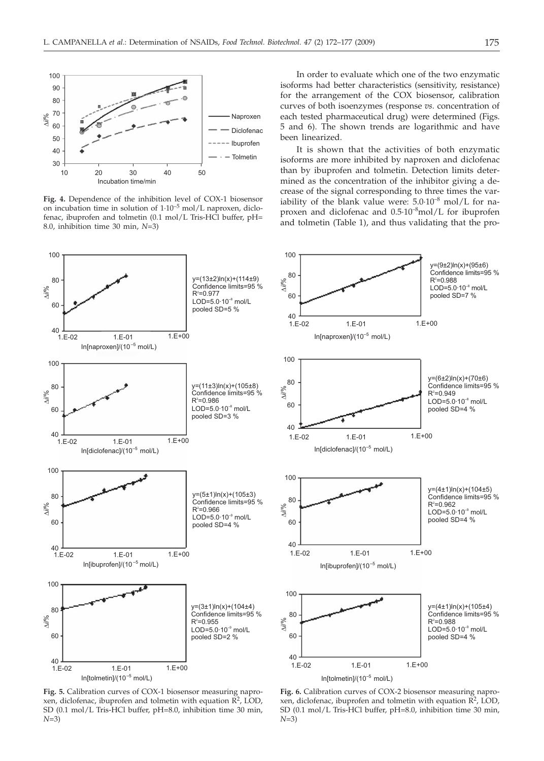

**Fig. 4.** Dependence of the inhibition level of COX-1 biosensor on incubation time in solution of 1·10–5 mol/L naproxen, diclofenac, ibuprofen and tolmetin (0.1 mol/L Tris-HCl buffer, pH= 8.0, inhibition time 30 min, *N*=3)

In order to evaluate which one of the two enzymatic isoforms had better characteristics (sensitivity, resistance) for the arrangement of the COX biosensor, calibration curves of both isoenzymes (response *vs.* concentration of each tested pharmaceutical drug) were determined (Figs. 5 and 6). The shown trends are logarithmic and have been linearized.

It is shown that the activities of both enzymatic isoforms are more inhibited by naproxen and diclofenac than by ibuprofen and tolmetin. Detection limits determined as the concentration of the inhibitor giving a decrease of the signal corresponding to three times the variability of the blank value were:  $5.0 \cdot 10^{-8}$  mol/L for naproxen and diclofenac and  $0.5 \cdot 10^{-8}$ mol/L for ibuprofen and tolmetin (Table 1), and thus validating that the pro-



**Fig. 5.** Calibration curves of COX-1 biosensor measuring naproxen, diclofenac, ibuprofen and tolmetin with equation  $\overline{R}^2$ , LOD, SD (0.1 mol/L Tris-HCl buffer, pH=8.0, inhibition time 30 min, *N*=3)

**Fig. 6.** Calibration curves of COX-2 biosensor measuring naproxen, diclofenac, ibuprofen and tolmetin with equation  $\overrightarrow{R}^2$ , LOD, SD (0.1 mol/L Tris-HCl buffer, pH=8.0, inhibition time 30 min, *N*=3)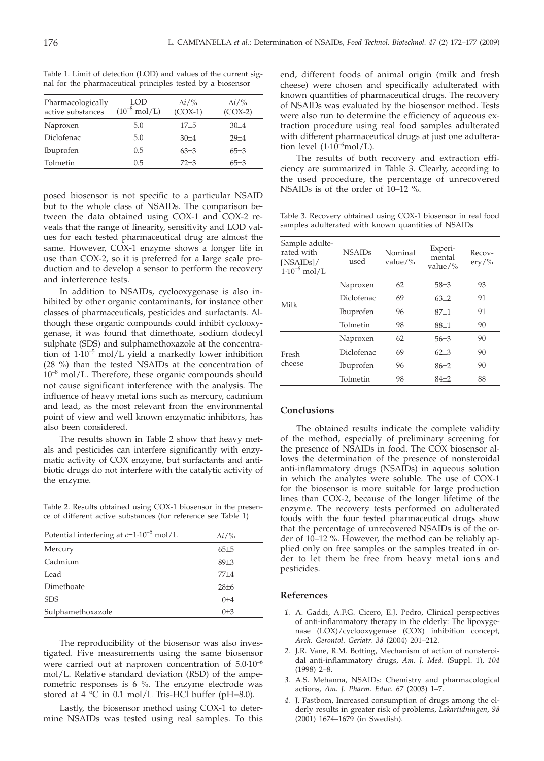| Pharmacologically<br>active substances | LOD<br>$(10^{-8} \text{ mol/L})$ | $\Delta i$ /%<br>$(COX-1)$ | $\Delta i$ /%<br>$(COX-2)$ |  |
|----------------------------------------|----------------------------------|----------------------------|----------------------------|--|
| Naproxen                               | 5.0                              | $17 + 5$                   | $30+4$                     |  |
| Diclofenac                             | 5.0                              | $30+4$                     | $29 + 4$                   |  |
| Ibuprofen                              | 0.5                              | $63+3$                     | $65+3$                     |  |
| Tolmetin<br>0.5                        |                                  | $72 + 3$                   | $65+3$                     |  |
|                                        |                                  |                            |                            |  |

Table 1. Limit of detection (LOD) and values of the current signal for the pharmaceutical principles tested by a biosensor

posed biosensor is not specific to a particular NSAID but to the whole class of NSAIDs. The comparison between the data obtained using COX-1 and COX-2 reveals that the range of linearity, sensitivity and LOD values for each tested pharmaceutical drug are almost the same. However, COX-1 enzyme shows a longer life in use than COX-2, so it is preferred for a large scale production and to develop a sensor to perform the recovery and interference tests.

In addition to NSAIDs, cyclooxygenase is also inhibited by other organic contaminants, for instance other classes of pharmaceuticals, pesticides and surfactants. Although these organic compounds could inhibit cyclooxygenase, it was found that dimethoate, sodium dodecyl sulphate (SDS) and sulphamethoxazole at the concentration of 1·10–5 mol/L yield a markedly lower inhibition (28 %) than the tested NSAIDs at the concentration of  $10^{-8}$  mol/L. Therefore, these organic compounds should not cause significant interference with the analysis. The influence of heavy metal ions such as mercury, cadmium and lead, as the most relevant from the environmental point of view and well known enzymatic inhibitors, has also been considered.

The results shown in Table 2 show that heavy metals and pesticides can interfere significantly with enzymatic activity of COX enzyme, but surfactants and antibiotic drugs do not interfere with the catalytic activity of the enzyme.

Table 2. Results obtained using COX-1 biosensor in the presence of different active substances (for reference see Table 1)

| Potential interfering at $c=1.10^{-5}$ mol/L | $\Delta i$ /%   |
|----------------------------------------------|-----------------|
| Mercury                                      | 65±5            |
| Cadmium                                      | 89±3            |
| Lead                                         | $77+4$          |
| Dimethoate                                   | $28+6$          |
| <b>SDS</b>                                   | $() + 4$        |
| Sulphamethoxazole                            | 0 <sub>±3</sub> |

The reproducibility of the biosensor was also investigated. Five measurements using the same biosensor were carried out at naproxen concentration of 5.0·10–6 mol/L. Relative standard deviation (RSD) of the amperometric responses is 6 %. The enzyme electrode was stored at 4  $\degree$ C in 0.1 mol/L Tris-HCl buffer (pH=8.0).

Lastly, the biosensor method using COX-1 to determine NSAIDs was tested using real samples. To this

end, different foods of animal origin (milk and fresh cheese) were chosen and specifically adulterated with known quantities of pharmaceutical drugs. The recovery of NSAIDs was evaluated by the biosensor method. Tests were also run to determine the efficiency of aqueous extraction procedure using real food samples adulterated with different pharmaceutical drugs at just one adulteration level  $(1.10^{-6} \text{mol/L}).$ 

The results of both recovery and extraction efficiency are summarized in Table 3. Clearly, according to the used procedure, the percentage of unrecovered NSAIDs is of the order of 10–12 %.

Table 3. Recovery obtained using COX-1 biosensor in real food samples adulterated with known quantities of NSAIDs

| Sample adulte-<br>rated with<br>[NSAIDs]/<br>$1.10^{-6}$ mol/L | <b>NSAIDs</b><br>used | Nominal<br>value/ $\%$ | Experi-<br>mental<br>value/% | Recov-<br>$\mathrm{e}$ ry/% |
|----------------------------------------------------------------|-----------------------|------------------------|------------------------------|-----------------------------|
| Milk                                                           | Naproxen              | 62                     | $58 + 3$                     | 93                          |
|                                                                | Diclofenac            | 69                     | $63+2$                       | 91                          |
|                                                                | Ibuprofen             | 96                     | 87+1                         | 91                          |
|                                                                | Tolmetin              | 98                     | $88+1$                       | 90                          |
| Fresh<br>cheese                                                | Naproxen              | 62                     | 56+3                         | 90                          |
|                                                                | Diclofenac            | 69                     | $62 + 3$                     | 90                          |
|                                                                | Ibuprofen             | 96                     | 86+2                         | 90                          |
|                                                                | Tolmetin              | 98                     | 84+2                         | 88                          |
|                                                                |                       |                        |                              |                             |

## **Conclusions**

The obtained results indicate the complete validity of the method, especially of preliminary screening for the presence of NSAIDs in food. The COX biosensor allows the determination of the presence of nonsteroidal anti-inflammatory drugs (NSAIDs) in aqueous solution in which the analytes were soluble. The use of COX-1 for the biosensor is more suitable for large production lines than COX-2, because of the longer lifetime of the enzyme. The recovery tests performed on adulterated foods with the four tested pharmaceutical drugs show that the percentage of unrecovered NSAIDs is of the order of 10–12 %. However, the method can be reliably applied only on free samples or the samples treated in order to let them be free from heavy metal ions and pesticides.

#### **References**

- *1.* A. Gaddi, A.F.G. Cicero, E.J. Pedro, Clinical perspectives of anti-inflammatory therapy in the elderly: The lipoxygenase (LOX)/cyclooxygenase (COX) inhibition concept, *Arch. Gerontol. Geriatr. 38* (2004) 201–212.
- *2.* J.R. Vane, R.M. Botting, Mechanism of action of nonsteroidal anti-inflammatory drugs, *Am. J. Med.* (Suppl. 1)*, 104* (1998) 2–8.
- *3.* A.S. Mehanna, NSAIDs: Chemistry and pharmacological actions, *Am. J. Pharm. Educ. 67* (2003) 1–7.
- *4.* J. Fastbom, Increased consumption of drugs among the elderly results in greater risk of problems, *Lakartidningen, 98* (2001) 1674–1679 (in Swedish).